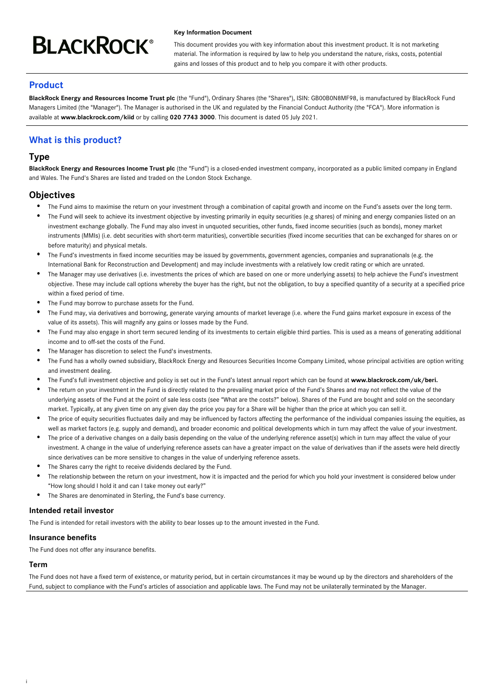# **BLACKROCK®**

#### **Key Information Document**

This document provides you with key information about this investment product. It is not marketing material. The information is required by law to help you understand the nature, risks, costs, potential gains and losses of this product and to help you compare it with other products.

# **Product**

**BlackRock Energy and Resources Income Trust plc** (the "Fund"), Ordinary Shares (the "Shares"), ISIN: GB00B0N8MF98, is manufactured by BlackRock Fund Managers Limited (the "Manager"). The Manager is authorised in the UK and regulated by the Financial Conduct Authority (the "FCA"). More information is available at **www.blackrock.com/kiid** or by calling **020 7743 3000**. This document is dated 05 July 2021.

# **What is this product?**

# **Type**

**BlackRock Energy and Resources Income Trust plc** (the "Fund") is a closed-ended investment company, incorporated as a public limited company in England and Wales. The Fund's Shares are listed and traded on the London Stock Exchange.

# **Objectives**

- The Fund aims to maximise the return on your investment through a combination of capital growth and income on the Fund's assets over the long term.
- $\bullet$ The Fund will seek to achieve its investment objective by investing primarily in equity securities (e.g shares) of mining and energy companies listed on an investment exchange globally. The Fund may also invest in unquoted securities, other funds, fixed income securities (such as bonds), money market instruments (MMIs) (i.e. debt securities with short-term maturities), convertible securities (fixed income securities that can be exchanged for shares on or before maturity) and physical metals.
- The Fund's investments in fixed income securities may be issued by governments, government agencies, companies and supranationals (e.g. the International Bank for Reconstruction and Development) and may include investments with a relatively low credit rating or which are unrated.
- The Manager may use derivatives (i.e. investments the prices of which are based on one or more underlying assets) to help achieve the Fund's investment objective. These may include call options whereby the buyer has the right, but not the obligation, to buy a specified quantity of a security at a specified price within a fixed period of time.
- The Fund may borrow to purchase assets for the Fund.
- The Fund may, via derivatives and borrowing, generate varying amounts of market leverage (i.e. where the Fund gains market exposure in excess of the value of its assets). This will magnify any gains or losses made by the Fund.
- The Fund may also engage in short term secured lending of its investments to certain eligible third parties. This is used as a means of generating additional income and to off-set the costs of the Fund.
- The Manager has discretion to select the Fund's investments.
- The Fund has a wholly owned subsidiary, BlackRock Energy and Resources Securities Income Company Limited, whose principal activities are option writing and investment dealing.
- The Fund's full investment objective and policy is set out in the Fund's latest annual report which can be found at **www.blackrock.com/uk/beri.**
- The return on your investment in the Fund is directly related to the prevailing market price of the Fund's Shares and may not reflect the value of the underlying assets of the Fund at the point of sale less costs (see "What are the costs?" below). Shares of the Fund are bought and sold on the secondary market. Typically, at any given time on any given day the price you pay for a Share will be higher than the price at which you can sell it.
- The price of equity securities fluctuates daily and may be influenced by factors affecting the performance of the individual companies issuing the equities, as well as market factors (e.g. supply and demand), and broader economic and political developments which in turn may affect the value of your investment.
- The price of a derivative changes on a daily basis depending on the value of the underlying reference asset(s) which in turn may affect the value of your investment. A change in the value of underlying reference assets can have a greater impact on the value of derivatives than if the assets were held directly since derivatives can be more sensitive to changes in the value of underlying reference assets.
- The Shares carry the right to receive dividends declared by the Fund.
- The relationship between the return on your investment, how it is impacted and the period for which you hold your investment is considered below under "How long should I hold it and can I take money out early?"
- The Shares are denominated in Sterling, the Fund's base currency.

#### **Intended retail investor**

The Fund is intended for retail investors with the ability to bear losses up to the amount invested in the Fund.

## **Insurance benefits**

The Fund does not offer any insurance benefits.

## **Term**

i

The Fund does not have a fixed term of existence, or maturity period, but in certain circumstances it may be wound up by the directors and shareholders of the Fund, subject to compliance with the Fund's articles of association and applicable laws. The Fund may not be unilaterally terminated by the Manager.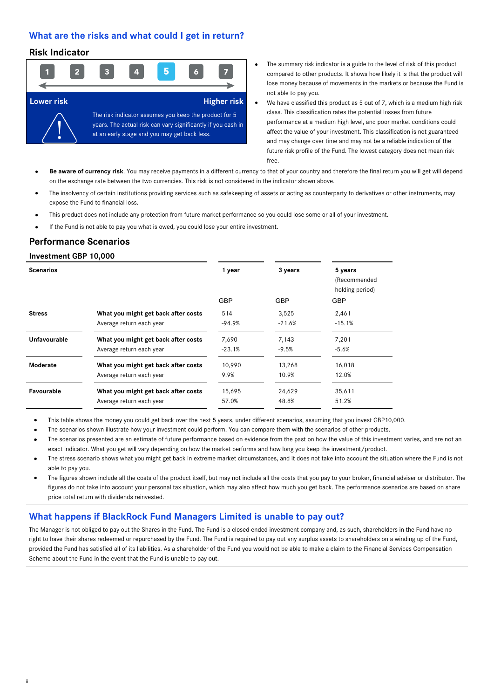## **What are the risks and what could I get in return?**

## **Risk Indicator**



- The summary risk indicator is a guide to the level of risk of this product compared to other products. It shows how likely it is that the product will lose money because of movements in the markets or because the Fund is not able to pay you.
- We have classified this product as 5 out of 7, which is a medium high risk class. This classification rates the potential losses from future performance at a medium high level, and poor market conditions could affect the value of your investment. This classification is not guaranteed and may change over time and may not be a reliable indication of the future risk profile of the Fund. The lowest category does not mean risk free.
- **Be aware of currency risk**. You may receive payments in a different currency to that of your country and therefore the final return you will get will depend on the exchange rate between the two currencies. This risk is not considered in the indicator shown above.
- The insolvency of certain institutions providing services such as safekeeping of assets or acting as counterparty to derivatives or other instruments, may expose the Fund to financial loss.
- This product does not include any protection from future market performance so you could lose some or all of your investment.
- If the Fund is not able to pay you what is owed, you could lose your entire investment.

## **Performance Scenarios**

#### **Investment GBP 10,000**

ii

| <b>Scenarios</b> |                                     | 1 year     | 3 years    | 5 years<br>(Recommended       |
|------------------|-------------------------------------|------------|------------|-------------------------------|
|                  |                                     | <b>GBP</b> | <b>GBP</b> | holding period)<br><b>GBP</b> |
| <b>Stress</b>    | What you might get back after costs | 514        | 3,525      | 2,461                         |
|                  | Average return each year            | -94.9%     | $-21.6%$   | $-15.1%$                      |
| Unfavourable     | What you might get back after costs | 7,690      | 7,143      | 7,201                         |
|                  | Average return each year            | $-23.1%$   | $-9.5%$    | $-5.6%$                       |
| Moderate         | What you might get back after costs | 10,990     | 13,268     | 16,018                        |
|                  | Average return each year            | 9.9%       | 10.9%      | 12.0%                         |
| Favourable       | What you might get back after costs | 15,695     | 24,629     | 35,611                        |
|                  | Average return each year            | 57.0%      | 48.8%      | 51.2%                         |

- This table shows the money you could get back over the next 5 years, under different scenarios, assuming that you invest GBP10,000.
- The scenarios shown illustrate how your investment could perform. You can compare them with the scenarios of other products.
- The scenarios presented are an estimate of future performance based on evidence from the past on how the value of this investment varies, and are not an exact indicator. What you get will vary depending on how the market performs and how long you keep the investment/product.
- The stress scenario shows what you might get back in extreme market circumstances, and it does not take into account the situation where the Fund is not able to pay you.
- The figures shown include all the costs of the product itself, but may not include all the costs that you pay to your broker, financial adviser or distributor. The figures do not take into account your personal tax situation, which may also affect how much you get back. The performance scenarios are based on share price total return with dividends reinvested.

## **What happens if BlackRock Fund Managers Limited is unable to pay out?**

The Manager is not obliged to pay out the Shares in the Fund. The Fund is a closed-ended investment company and, as such, shareholders in the Fund have no right to have their shares redeemed or repurchased by the Fund. The Fund is required to pay out any surplus assets to shareholders on a winding up of the Fund, provided the Fund has satisfied all of its liabilities. As a shareholder of the Fund you would not be able to make a claim to the Financial Services Compensation Scheme about the Fund in the event that the Fund is unable to pay out.